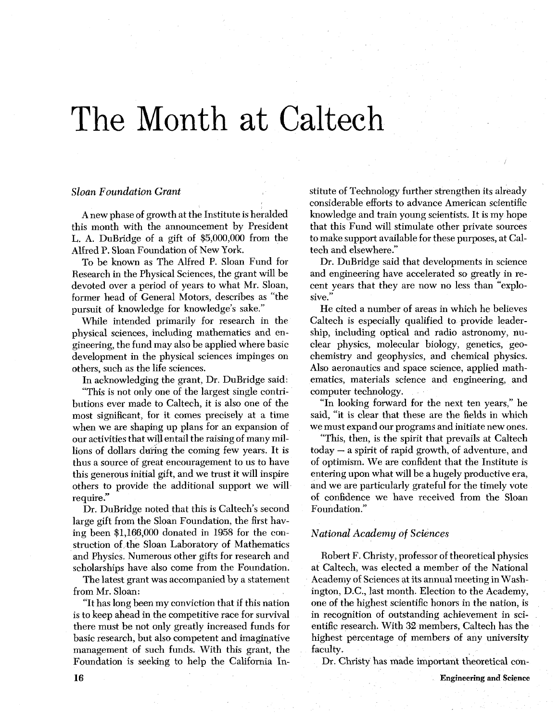# The Month at Caltech

#### *Sloan Foundation Grant*

A new phase of growth at the Institute is heralded this month with the announcement by President L. A. DuBridge of a gift of \$5,000,000 from the Alfred P. Sloan Foundation of New York.

To be known as The Alfred P. Sloan Fund for Research in the Physical Sciences, the grant will be devoted over a period of years to what Mr. Sloan, former head of General Motors, describes as "the pursuit of knowledge for knowledge's sake."

While intended primarily for research in the physical sciences, including mathematics and engineering, the fund may also be applied where basic development in the physical sciences impinges on others, such as the life sciences.

In acknowledging the grant, Dr. DuBridge said:

"This is not only one of the largest single contributions ever made to Caltech, it is also one of the most significant, for it comes precisely at a time when we are shaping up plans for an expansion of our activities that will entail the raising of many millions of dollars during the coming few years. It is thus a source of great encouragement to us to have this generous initial gift, and we trust it will inspire others to provide the additional support we will require ."

Dr. DuBridge noted that this is Caltech's second large gift from the Sloan Foundation, the first having been \$1,166,000 donated in 1958 for the construction of the Sloan Laboratory of Mathematics and Physics. Numerous other gifts for research and scholarships have also come from the Foundation.

The latest grant was accompanied by a statement from Mr. Sloan:

"It has long been my conviction that if this nation is to keep ahead in the competitive race for survival there must be not only greatly increased funds for basic research, but also competent and imaginative management of such funds. With this grant, the Foundation is seeking to help the California Institute of Technology further strengthen its already considerable efforts to advance American scientific knowledge and train young scientists. It is my hope that this Fund will stimulate other private sources to make support available for these purposes, at Caltech and elsewhere."

Dr. DuBridge said that developments in science and engineering have accelerated so greatly in recent years that they are now no less than "expiosive."

He cited a number of areas in which he believes Caltech is especially qualified to provide leadership, including optical and radio astronomy, nuclear physics, molecular biology, genetics, geochemistry and geophysics, and chemical physics. Also aeronautics and space science, applied mathematics, materials science and engineering, and computer technology.

"In looking forward for the next ten years," he said, "it is clear that these are the fields in which we must expand our programs and initiate new ones.

"This, then, is the spirit that prevails at Caltech today - a spirit of rapid growth, of adventure, and of optimism. We are confident that the Institute is entering upon what will be a hugely productive era, and we are particularly grateful for the timely vote of confidence we have received from the Sloan Foundation."

#### *National Academy of Sciences*

Robert F. Christy, professor of theoretical physics at Caltech, was elected a member of the National Academy of Sciences at its annual meeting in Washington, D.C., last month. Election to the Academy, one of the highest scientific honors in the nation, is in recognition of outstanding achievement in scientific research. With **32** members, Caltech has **the**  highest percentage of members of any university faculty.

Dr. Christy has made important theoretical con-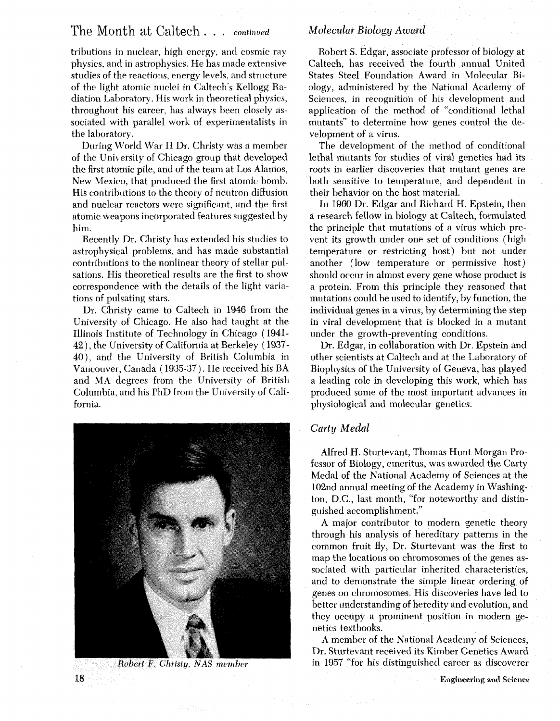### The Month at Caltech . . . *continued*

tributions in nuclear, high energy, and cosmic ray physics, and in astrophysics. He has made extensive studies of the reactions, energy levels, and structure of the light atomic nuclei in Caltech's Kellogg Radiation Laboratory. His work in theoretical physics, throughout his career, has always been closely associated with parallel work of experimentalists in the laboratory.

During World War I1 Dr. Christy was a member of the University of Chicago group that developed the first atomic pile, and of the team at Los Alamos, New Mexico, that produced the first atomic bomb. His contributions to the theory of neutron diffusion and nuclear reactors were significant, and the first atomic weapons incorporated features suggested by him.

Recently Dr. Christy has extended his studies to astrophysical problems, and has made substantial contributions to the nonlinear theory of stellar pulsations. His theoretical results are the first to show correspondence with the details of the light variations of pulsating stars.

Dr. Christy came to Caltech in 1946 from the University of Chicago. He also had taught at the Illinois Institute of Technology in Chicago ( 1941- 42 ) , the University of California at Berkeley ( 1937- 401, and the University of British Columbia in Vancouver, Canada ( 1935-37 ). He received his BA and MA degrees from the University of British Columbia, and his PhD from the University of California.



Robert F. Christy, NAS member

#### *Molecular Biology Award*

Robert S. Edgar, associate professor of biology at Caltech, has received the fourth annual United States Steel Foundation Award in Molecular Biology, administered by the National Academy of Sciences, in recognition of his development and application of the method of "conditional lethal mutants" to determine how genes control the development of a virus.

The development of the method of conditional lethal mutants for studies of viral genetics had its roots in earlier discoveries that mutant genes are both sensitive to temperature, and dependent in their behavior on the host material.

In 1960 Dr. Edgar and Richard H. Epstein, then a research fellow in biology at Caltech, formulated the principle that mutations of a virus which prevent its growth under one set of conditions (high temperature or restricting host) but not under another (low temperature or permissive host ) should occur in almost every gene whose product is a protein. From this principle they reasoned that mutations could be used to identify, by function, the individual genes in a virus, by determining the step in viral development that is blocked in a mutant under the growth-preventing conditions.

Dr. Edgar, in collaboration with Dr. Epstein and other scientists at Caltech and at the Laboratory of Biophysics of the University of Geneva, has played a leading role in developing this work, which has produced some of the most important advances in physiological and molecular genetics.

#### Carty *Medal*

Alfred H. Sturtevant, Thomas Hunt Morgan Professor of Biology, emeritus, was awarded the Carty Medal of the National Academy of Sciences at the 102nd annual meeting of the Academy in Washington, D.C., last month, "for noteworthy and distinguished accomplishment."

**A** major contributor to modern genetic theory through his analysis of hereditary patterns in the common fruit fly, Dr. Sturtevant was the first to map the locations on chromosomes of the genes associated with particular inherited characteristics, and to demonstrate the simple linear ordering of genes on chromosomes. His discoveries have led to better understanding of heredity and evolution, and they occupy a prominent position in modern genetics textbooks.

A member of the National Academy of Sciences, Dr. Sturtevant received its Kimber Genetics Award in 1957 "for his distinguished career as discoverer

18